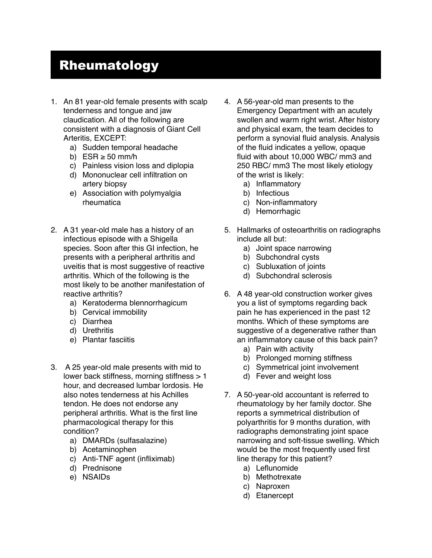## Rheumatology

- 1. An 81 year-old female presents with scalp tenderness and tongue and jaw claudication. All of the following are consistent with a diagnosis of Giant Cell Arteritis, EXCEPT:
	- a) Sudden temporal headache
	- b) ESR  $\geq$  50 mm/h
	- c) Painless vision loss and diplopia
	- d) Mononuclear cell infiltration on artery biopsy
	- e) Association with polymyalgia rheumatica
- 2. A 31 year-old male has a history of an infectious episode with a Shigella species. Soon after this GI infection, he presents with a peripheral arthritis and uveitis that is most suggestive of reactive arthritis. Which of the following is the most likely to be another manifestation of reactive arthritis?
	- a) Keratoderma blennorrhagicum
	- b) Cervical immobility
	- c) Diarrhea
	- d) Urethritis
	- e) Plantar fasciitis
- 3. A 25 year-old male presents with mid to lower back stiffness, morning stiffness > 1 hour, and decreased lumbar lordosis. He also notes tenderness at his Achilles tendon. He does not endorse any peripheral arthritis. What is the first line pharmacological therapy for this condition?
	- a) DMARDs (sulfasalazine)
	- b) Acetaminophen
	- c) Anti-TNF agent (infliximab)
	- d) Prednisone
	- e) NSAIDs
- 4. A 56-year-old man presents to the Emergency Department with an acutely swollen and warm right wrist. After history and physical exam, the team decides to perform a synovial fluid analysis. Analysis of the fluid indicates a yellow, opaque fluid with about 10,000 WBC/ mm3 and 250 RBC/ mm3 The most likely etiology of the wrist is likely:
	- a) Inflammatory
	- b) Infectious
	- c) Non-inflammatory
	- d) Hemorrhagic
- 5. Hallmarks of osteoarthritis on radiographs include all but:
	- a) Joint space narrowing
	- b) Subchondral cysts
	- c) Subluxation of joints
	- d) Subchondral sclerosis
- 6. A 48 year-old construction worker gives you a list of symptoms regarding back pain he has experienced in the past 12 months. Which of these symptoms are suggestive of a degenerative rather than an inflammatory cause of this back pain?
	- a) Pain with activity
	- b) Prolonged morning stiffness
	- c) Symmetrical joint involvement
	- d) Fever and weight loss
- 7. A 50-year-old accountant is referred to rheumatology by her family doctor. She reports a symmetrical distribution of polyarthritis for 9 months duration, with radiographs demonstrating joint space narrowing and soft-tissue swelling. Which would be the most frequently used first line therapy for this patient?
	- a) Leflunomide
	- b) Methotrexate
	- c) Naproxen
	- d) Etanercept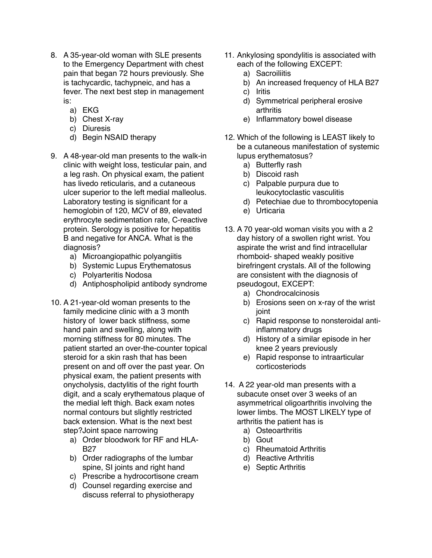- 8. A 35-year-old woman with SLE presents to the Emergency Department with chest pain that began 72 hours previously. She is tachycardic, tachypneic, and has a fever. The next best step in management is:
	- a) EKG
	- b) Chest X-ray
	- c) Diuresis
	- d) Begin NSAID therapy
- 9. A 48-year-old man presents to the walk-in clinic with weight loss, testicular pain, and a leg rash. On physical exam, the patient has livedo reticularis, and a cutaneous ulcer superior to the left medial malleolus. Laboratory testing is significant for a hemoglobin of 120, MCV of 89, elevated erythrocyte sedimentation rate, C-reactive protein. Serology is positive for hepatitis B and negative for ANCA. What is the diagnosis?
	- a) Microangiopathic polyangiitis
	- b) Systemic Lupus Erythematosus
	- c) Polyarteritis Nodosa
	- d) Antiphospholipid antibody syndrome
- 10. A 21-year-old woman presents to the family medicine clinic with a 3 month history of lower back stiffness, some hand pain and swelling, along with morning stiffness for 80 minutes. The patient started an over-the-counter topical steroid for a skin rash that has been present on and off over the past year. On physical exam, the patient presents with onycholysis, dactylitis of the right fourth digit, and a scaly erythematous plaque of the medial left thigh. Back exam notes normal contours but slightly restricted back extension. What is the next best step?Joint space narrowing
	- a) Order bloodwork for RF and HLA-B27
	- b) Order radiographs of the lumbar spine, SI joints and right hand
	- c) Prescribe a hydrocortisone cream
	- d) Counsel regarding exercise and discuss referral to physiotherapy
- 11. Ankylosing spondylitis is associated with each of the following EXCEPT:
	- a) Sacroiliitis
	- b) An increased frequency of HLA B27
	- c) Iritis
	- d) Symmetrical peripheral erosive arthritis
	- e) Inflammatory bowel disease
- 12. Which of the following is LEAST likely to be a cutaneous manifestation of systemic lupus erythematosus?
	- a) Butterfly rash
	- b) Discoid rash
	- c) Palpable purpura due to leukocytoclastic vasculitis
	- d) Petechiae due to thrombocytopenia
	- e) Urticaria
- 13. A 70 year-old woman visits you with a 2 day history of a swollen right wrist. You aspirate the wrist and find intracellular rhomboid- shaped weakly positive birefringent crystals. All of the following are consistent with the diagnosis of pseudogout, EXCEPT:
	- a) Chondrocalcinosis
	- b) Erosions seen on x-ray of the wrist joint
	- c) Rapid response to nonsteroidal antiinflammatory drugs
	- d) History of a similar episode in her knee 2 years previously
	- e) Rapid response to intraarticular corticosteriods
- 14. A 22 year-old man presents with a subacute onset over 3 weeks of an asymmetrical oligoarthritis involving the lower limbs. The MOST LIKELY type of arthritis the patient has is
	- a) Osteoarthritis
	- b) Gout
	- c) Rheumatoid Arthritis
	- d) Reactive Arthritis
	- e) Septic Arthritis